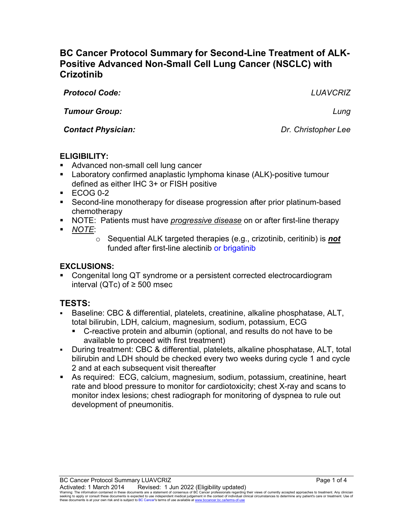# **BC Cancer Protocol Summary for Second-Line Treatment of ALK-Positive Advanced Non-Small Cell Lung Cancer (NSCLC) with Crizotinib**

*Protocol Code: LUAVCRIZ Tumour Group: Lung*

*Contact Physician: Dr. Christopher Lee*

## **ELIGIBILITY:**

- Advanced non-small cell lung cancer
- Laboratory confirmed anaplastic lymphoma kinase (ALK)-positive tumour defined as either IHC 3+ or FISH positive
- $\textsf{ECOG}$  0-2
- Second-line monotherapy for disease progression after prior platinum-based chemotherapy
- NOTE: Patients must have *progressive disease* on or after first-line therapy
- *NOTE*:
	- o Sequential ALK targeted therapies (e.g., crizotinib, ceritinib) is *not* funded after first-line alectinib or brigatinib

## **EXCLUSIONS:**

 Congenital long QT syndrome or a persistent corrected electrocardiogram interval (QTc) of ≥ 500 msec

# **TESTS:**

- Baseline: CBC & differential, platelets, creatinine, alkaline phosphatase, ALT, total bilirubin, LDH, calcium, magnesium, sodium, potassium, ECG
	- C-reactive protein and albumin (optional, and results do not have to be available to proceed with first treatment)
- During treatment: CBC & differential, platelets, alkaline phosphatase, ALT, total bilirubin and LDH should be checked every two weeks during cycle 1 and cycle 2 and at each subsequent visit thereafter
- As required: ECG, calcium, magnesium, sodium, potassium, creatinine, heart rate and blood pressure to monitor for cardiotoxicity; chest X-ray and scans to monitor index lesions; chest radiograph for monitoring of dyspnea to rule out development of pneumonitis.

Warning: The information contained in these documents are a statement of consensus of BC Cancer professionals regarding their views of currently accepted approaches to treatment. Any clinician<br>seeking to apply or consult t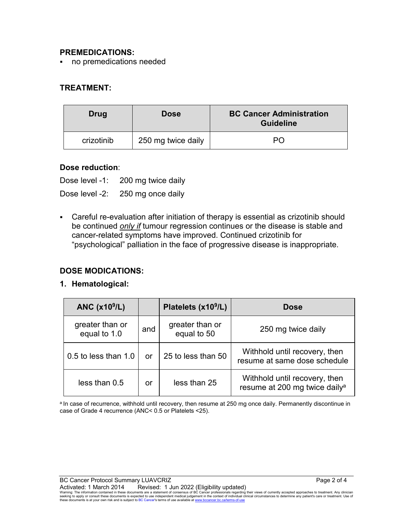#### **PREMEDICATIONS:**

no premedications needed

### **TREATMENT:**

| Drug       | <b>Dose</b>        | <b>BC Cancer Administration</b><br><b>Guideline</b> |
|------------|--------------------|-----------------------------------------------------|
| crizotinib | 250 mg twice daily | PΩ                                                  |

#### **Dose reduction**:

Dose level -1: 200 mg twice daily Dose level -2: 250 mg once daily

 Careful re-evaluation after initiation of therapy is essential as crizotinib should be continued *only if* tumour regression continues or the disease is stable and cancer-related symptoms have improved. Continued crizotinib for "psychological" palliation in the face of progressive disease is inappropriate.

#### **DOSE MODICATIONS:**

#### **1. Hematological:**

| ANC $(x109/L)$                  |     | Platelets (x10 <sup>9</sup> /L) | <b>Dose</b>                                                                |
|---------------------------------|-----|---------------------------------|----------------------------------------------------------------------------|
| greater than or<br>equal to 1.0 | and | greater than or<br>equal to 50  | 250 mg twice daily                                                         |
| 0.5 to less than 1.0            | or  | 25 to less than 50              | Withhold until recovery, then<br>resume at same dose schedule              |
| less than 0.5                   | or  | less than 25                    | Withhold until recovery, then<br>resume at 200 mg twice daily <sup>a</sup> |

a In case of recurrence, withhold until recovery, then resume at 250 mg once daily. Permanently discontinue in case of Grade 4 recurrence (ANC< 0.5 or Platelets <25).

Activated: 1 March 2014 Revised: 1 Jun 2022 (Eligibility updated)<br>Warning: The information contained in these documents are a statement of consensus of BC Cancer professionals regarding their views of currently accepted ap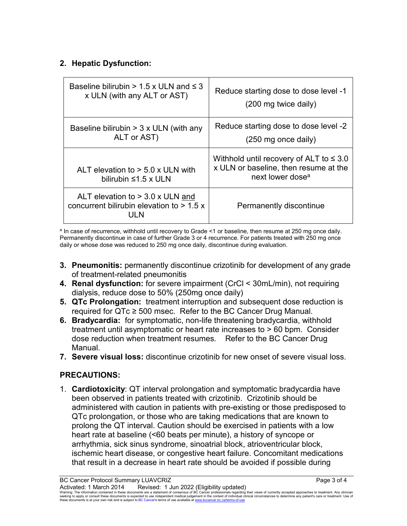## **2. Hepatic Dysfunction:**

| Baseline bilirubin $> 1.5$ x ULN and $\leq 3$                                             | Reduce starting dose to dose level -1                                                                                 |
|-------------------------------------------------------------------------------------------|-----------------------------------------------------------------------------------------------------------------------|
| x ULN (with any ALT or AST)                                                               | (200 mg twice daily)                                                                                                  |
| Baseline bilirubin $>$ 3 x ULN (with any                                                  | Reduce starting dose to dose level -2                                                                                 |
| ALT or AST)                                                                               | $(250 \text{ mg once daily})$                                                                                         |
| ALT elevation to $> 5.0$ x ULN with<br>bilirubin $\leq 1.5$ x ULN                         | Withhold until recovery of ALT to $\leq 3.0$<br>x ULN or baseline, then resume at the<br>next lower dose <sup>a</sup> |
| ALT elevation to $>$ 3.0 x ULN and<br>concurrent bilirubin elevation to $> 1.5 x$<br>UEN. | Permanently discontinue                                                                                               |

<sup>a</sup> In case of recurrence, withhold until recovery to Grade <1 or baseline, then resume at 250 mg once daily. Permanently discontinue in case of further Grade 3 or 4 recurrence. For patients treated with 250 mg once daily or whose dose was reduced to 250 mg once daily, discontinue during evaluation.

- **3. Pneumonitis:** permanently discontinue crizotinib for development of any grade of treatment-related pneumonitis
- **4. Renal dysfunction:** for severe impairment (CrCl < 30mL/min), not requiring dialysis, reduce dose to 50% (250mg once daily)
- **5. QTc Prolongation:** treatment interruption and subsequent dose reduction is required for QTc ≥ 500 msec. Refer to the BC Cancer Drug Manual.
- **6. Bradycardia:** for symptomatic, non-life threatening bradycardia, withhold treatment until asymptomatic or heart rate increases to > 60 bpm. Consider dose reduction when treatment resumes. Refer to the BC Cancer Drug Manual.
- **7. Severe visual loss:** discontinue crizotinib for new onset of severe visual loss.

# **PRECAUTIONS:**

1. **Cardiotoxicity**: QT interval prolongation and symptomatic bradycardia have been observed in patients treated with crizotinib. Crizotinib should be administered with caution in patients with pre-existing or those predisposed to QTc prolongation, or those who are taking medications that are known to prolong the QT interval. Caution should be exercised in patients with a low heart rate at baseline (<60 beats per minute), a history of syncope or arrhythmia, sick sinus syndrome, sinoatrial block, atrioventricular block, ischemic heart disease, or congestive heart failure. Concomitant medications that result in a decrease in heart rate should be avoided if possible during